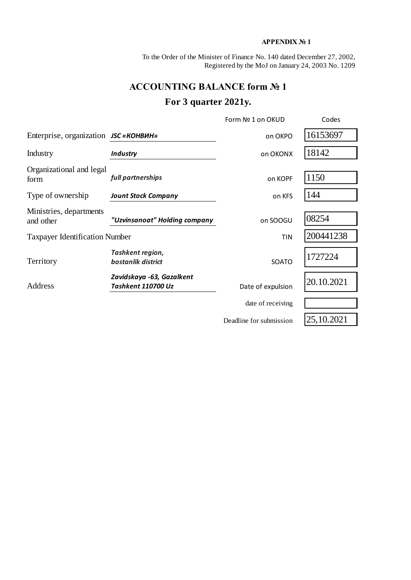### **APPENDIX № 1**

To the Order of the Minister of Finance No. 140 dated December 27, 2002, Registered by the MoJ on January 24, 2003 No. 1209

### **ACCOUNTING BALANCE form № 1**

# **For 3 quarter 2021y.**

|                                              |                                                 | Form Nº 1 on OKUD       | Codes      |
|----------------------------------------------|-------------------------------------------------|-------------------------|------------|
| Enterprise, organization <i>JSC</i> «КОНВИН» |                                                 | on OKPO                 | 16153697   |
| Industry                                     | <b>Industry</b>                                 | on OKONX                | 18142      |
| Organizational and legal<br>form             | full partnerships                               | on KOPF                 | 1150       |
| Type of ownership                            | <b>Jount Stock Company</b>                      | on KFS                  | 144        |
| Ministries, departments<br>and other         | "Uzvinsanoat" Holding company                   | on SOOGU                | 08254      |
| <b>Taxpayer Identification Number</b>        |                                                 | <b>TIN</b>              | 200441238  |
| Territory                                    | Tashkent region,<br>bostanlik district          | <b>SOATO</b>            | 1727224    |
| Address                                      | Zavidskaya -63, Gazalkent<br>Tashkent 110700 Uz | Date of expulsion       | 20.10.2021 |
|                                              |                                                 | date of receiving       |            |
|                                              |                                                 | Deadline for submission | 25,10.2021 |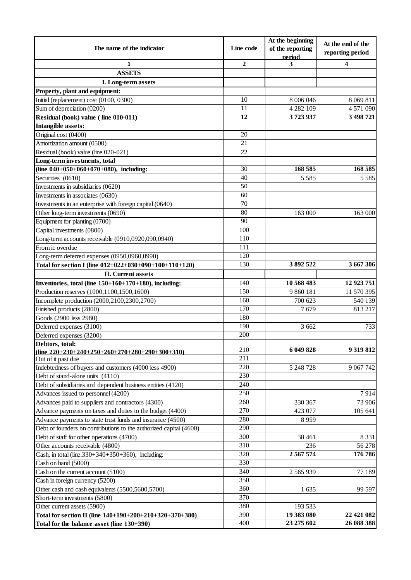|                                                                    |                  | At the beginning           | At the end of the |  |
|--------------------------------------------------------------------|------------------|----------------------------|-------------------|--|
| The name of the indicator                                          | Line code        | of the reporting<br>period | reporting period  |  |
| 1                                                                  | $\overline{2}$   | 3                          | 4                 |  |
| <b>ASSETS</b>                                                      |                  |                            |                   |  |
| I. Long-term assets                                                |                  |                            |                   |  |
| Property, plant and equipment:                                     |                  |                            |                   |  |
| Initial (replacement) cost (0100, 0300)                            | 10               | 8 006 046                  | 8 0 69 8 11       |  |
| Sum of depreciation (0200)                                         | 11               | 4 282 109                  | 4 571 090         |  |
| Residual (book) value (line 010-011)                               | $\overline{12}$  | 3723937                    | 3 498 721         |  |
| <b>Intangible assets:</b>                                          |                  |                            |                   |  |
| Original cost (0400)                                               | 20               |                            |                   |  |
| Amortization amount (0500)                                         | 21               |                            |                   |  |
| Residual (book) value (line 020-021)                               | 22               |                            |                   |  |
| Long-term investments, total                                       |                  |                            |                   |  |
| (line $040+050+060+070+080$ ), including:                          | 30               | 168 585                    | 168 585           |  |
| Securities (0610)                                                  | 40               | 5 5 8 5                    | 5 5 8 5           |  |
| Investments in subsidiaries (0620)                                 | 50               |                            |                   |  |
| Investments in associates (0630)                                   | 60               |                            |                   |  |
| Investments in an enterprise with foreign capital (0640)           | 70               |                            |                   |  |
| Other long-term investments (0690)                                 | $\overline{80}$  | 163 000                    | 163 000           |  |
| Equipment for planting (0700)                                      | 90               |                            |                   |  |
| Capital investments (0800)                                         | 100              |                            |                   |  |
| Long-term accounts receivable (0910,0920,090,0940)                 | 110              |                            |                   |  |
| From it: overdue                                                   | 111              |                            |                   |  |
| Long-term deferred expenses (0950,0960,0990)                       | 120              |                            |                   |  |
| Total for section I (line 012+022+030+090+100+110+120)             | 130              | 3892522                    | 3 667 306         |  |
| <b>II.</b> Current assets                                          |                  |                            |                   |  |
| Inventories, total (line 150+160+170+180), including:              | 140              | 10 568 483                 | 12 923 751        |  |
| Production reserves (1000,1100,1500,1600)                          | $\overline{150}$ | 9 860 181                  | 11 570 395        |  |
| Incomplete production (2000,2100,2300,2700)                        | 160              | 700 623                    | 540 139           |  |
| Finished products (2800)                                           | 170              | 7679                       | 813 217           |  |
| Goods (2900 less 2980)                                             | 180              |                            |                   |  |
| Deferred expenses (3100)                                           | 190              | 3 6 6 2                    | 733               |  |
| Deferred expenses (3200)                                           | 200              |                            |                   |  |
| Debtors, total:                                                    |                  |                            |                   |  |
| (line $220+230+240+250+260+270+280+290+300+310$ )                  | 210              | 6 049 828                  | 9 319 812         |  |
| Out of it past due                                                 | 211              |                            |                   |  |
| Indebtedness of buyers and customers (4000 less 4900)              | 220              | 5 248 728                  | 9 0 67 7 42       |  |
| Debt of stand-alone units (4110)                                   | 230              |                            |                   |  |
| Debt of subsidiaries and dependent business entities (4120)        | 240              |                            |                   |  |
| Advances issued to personnel (4200)                                | 250              |                            | 7914              |  |
| Advances paid to suppliers and contractors (4300)                  | 260              | 330 367                    | 73 906            |  |
| Advance payments on taxes and duties to the budget (4400)          | 270              | 423 077                    | 105 641           |  |
| Advance payments to state trust funds and insurance (4500)         | 280              | 8959                       |                   |  |
| Debt of founders on contributions to the authorized capital (4600) | 290              |                            |                   |  |
| Debt of staff for other operations (4700)                          | 300              | 38 461                     | 8 3 3 1           |  |
| Other accounts receivable (4800)                                   | 310              | 236                        | 56 278            |  |
| Cash, in total (line. $330+340+350+360$ ), including:              | 320              | 2 5 6 7 5 7 4              | 176 786           |  |
| Cash on hand (5000)                                                | 330              |                            |                   |  |
| Cash on the current account (5100)                                 | 340              | 2 5 6 5 9 3 9              | 77 189            |  |
| Cash in foreign currency (5200)                                    | 350              |                            |                   |  |
| Other cash and cash equivalents (5500,5600,5700)                   | 360              | 1635                       | 99 597            |  |
| Short-term investments (5800)                                      | 370              |                            |                   |  |
| Other current assets (5900)                                        | 380              | 193 533                    |                   |  |
| Total for section II (line 140+190+200+210+320+370+380)            | 390              | 19 383 080                 | 22 421 082        |  |
| Total for the balance asset (line 130+390)                         | 400              | 23 275 602                 | 26 088 388        |  |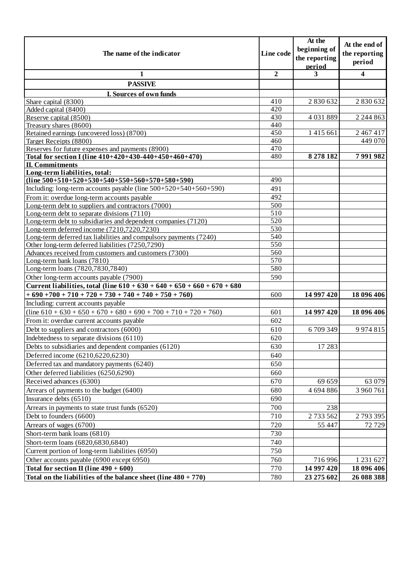| The name of the indicator                                                     | Line code        | At the<br>beginning of<br>the reporting | At the end of<br>the reporting |
|-------------------------------------------------------------------------------|------------------|-----------------------------------------|--------------------------------|
|                                                                               |                  | period                                  | period                         |
| 1                                                                             | $\overline{2}$   | 3                                       | 4                              |
| <b>PASSIVE</b>                                                                |                  |                                         |                                |
| I. Sources of own funds                                                       |                  |                                         |                                |
| Share capital (8300)                                                          | 410              | 2 830 632                               | 2 830 632                      |
| Added capital (8400)                                                          | 420              |                                         |                                |
| Reserve capital (8500)                                                        | 430              | 4 0 3 1 8 8 9                           | 2 2 4 8 6 3                    |
| Treasury shares (8600)                                                        | 440              |                                         |                                |
| Retained earnings (uncovered loss) (8700)                                     | 450              | 1415661                                 | 2 467 417                      |
| Target Receipts (8800)                                                        | 460              |                                         | 449 070                        |
| Reserves for future expenses and payments (8900)                              | 470<br>480       |                                         |                                |
| Total for section I (line 410+420+430-440+450+460+470)                        |                  | 8 278 182                               | 7991982                        |
| <b>II. Commitments</b><br>Long-term liabilities, total:                       |                  |                                         |                                |
| $(line 500+510+520+530+540+550+560+570+580+590)$                              | 490              |                                         |                                |
| Including: long-term accounts payable (line $500+520+540+560+590$ )           | 491              |                                         |                                |
| From it: overdue long-term accounts payable                                   | 492              |                                         |                                |
| Long-term debt to suppliers and contractors (7000)                            | 500              |                                         |                                |
| Long-term debt to separate divisions (7110)                                   | $\overline{510}$ |                                         |                                |
| Long-term debt to subsidiaries and dependent companies (7120)                 | 520              |                                         |                                |
| Long-term deferred income (7210,7220,7230)                                    | 530              |                                         |                                |
| Long-term deferred tax liabilities and compulsory payments (7240)             | 540              |                                         |                                |
| Other long-term deferred liabilities (7250,7290)                              | 550              |                                         |                                |
| Advances received from customers and customers (7300)                         | 560              |                                         |                                |
| Long-term bank loans (7810)                                                   | 570              |                                         |                                |
| Long-term loans (7820,7830,7840)                                              | 580              |                                         |                                |
| Other long-term accounts payable (7900)                                       | 590              |                                         |                                |
| Current liabilities, total (line $610 + 630 + 640 + 650 + 660 + 670 + 680$    |                  |                                         |                                |
| $+690+700+710+720+730+740+740+750+760$                                        | 600              | 14 997 420                              | 18 096 406                     |
| Including: current accounts payable                                           |                  |                                         |                                |
| $\overline{(line 610 + 630 + 650 + 670 + 680 + 690 + 700 + 710 + 720 + 760)}$ | 601              | 14 997 420                              | 18 096 406                     |
| From it: overdue current accounts payable                                     | 602              |                                         |                                |
| Debt to suppliers and contractors (6000)                                      | 610              | 6709349                                 | 9 9 7 4 8 1 5                  |
| Indebtedness to separate divisions (6110)                                     | 620              |                                         |                                |
| Debts to subsidiaries and dependent companies (6120)                          | 630              | 17 28 3                                 |                                |
| Deferred income (6210,6220,6230)                                              | 640              |                                         |                                |
| Deferred tax and mandatory payments (6240)                                    | 650              |                                         |                                |
| Other deferred liabilities (6250,6290)                                        | 660              |                                         |                                |
| Received advances (6300)                                                      | 670              | 69 659                                  | 63 079                         |
| Arrears of payments to the budget (6400)                                      | 680              | 4 694 886                               | 3 960 761                      |
| Insurance debts (6510)                                                        | 690              |                                         |                                |
| Arrears in payments to state trust funds (6520)                               | 700              | 238                                     |                                |
| Debt to founders (6600)                                                       | 710              | 2733562                                 |                                |
|                                                                               |                  |                                         | 2793395                        |
| Arrears of wages (6700)                                                       | 720              | 55 447                                  | 72729                          |
| Short-term bank loans (6810)                                                  | 730              |                                         |                                |
| Short-term loans (6820,6830,6840)                                             | 740              |                                         |                                |
| Current portion of long-term liabilities (6950)                               | 750              |                                         |                                |
| Other accounts payable (6900 except 6950)                                     | 760              | 716 996                                 | 1 231 627                      |
| Total for section II (line $490 + 600$ )                                      | 770              | 14 997 420                              | 18 096 406                     |
| Total on the liabilities of the balance sheet (line $480 + 770$ )             | 780              | 23 275 602                              | 26 088 388                     |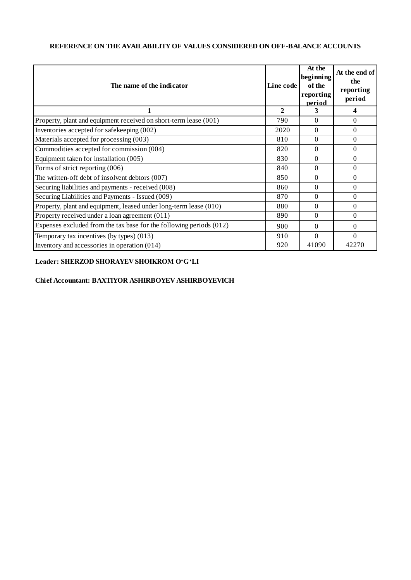#### **REFERENCE ON THE AVAILABILITY OF VALUES CONSIDERED ON OFF-BALANCE ACCOUNTS**

| The name of the indicator                                           | Line code | At the<br>beginning<br>of the<br>reporting<br>period | At the end of<br>the<br>reporting<br>period |
|---------------------------------------------------------------------|-----------|------------------------------------------------------|---------------------------------------------|
|                                                                     | 2         | 3                                                    | 4                                           |
| Property, plant and equipment received on short-term lease (001)    | 790       | $\Omega$                                             | $\Omega$                                    |
| Inventories accepted for safekeeping (002)                          | 2020      | $\Omega$                                             | $\Omega$                                    |
| Materials accepted for processing (003)                             | 810       | $\Omega$                                             | $\Omega$                                    |
| Commodities accepted for commission (004)                           | 820       | $\Omega$                                             | $\Omega$                                    |
| Equipment taken for installation (005)                              | 830       | $\Omega$                                             | $\Omega$                                    |
| Forms of strict reporting (006)                                     | 840       | $\Omega$                                             | $\theta$                                    |
| The written-off debt of insolvent debtors (007)                     | 850       | $\Omega$                                             | $\Omega$                                    |
| Securing liabilities and payments - received (008)                  | 860       | $\Omega$                                             | $\Omega$                                    |
| Securing Liabilities and Payments - Issued (009)                    | 870       | $\Omega$                                             | $\Omega$                                    |
| Property, plant and equipment, leased under long-term lease (010)   | 880       | $\Omega$                                             | $\Omega$                                    |
| Property received under a loan agreement (011)                      | 890       | $\Omega$                                             | $\Omega$                                    |
| Expenses excluded from the tax base for the following periods (012) | 900       | $\Omega$                                             | $\Omega$                                    |
| Temporary tax incentives (by types) (013)                           | 910       | $\Omega$                                             | $\Omega$                                    |
| Inventory and accessories in operation $(014)$                      | 920       | 41090                                                | 42270                                       |

#### **Leader: SHERZOD SHORAYEV SHOIKROM O'G'LI**

#### **Chief Accountant: BAXTIYOR ASHIRBOYEV ASHIRBOYEVICH**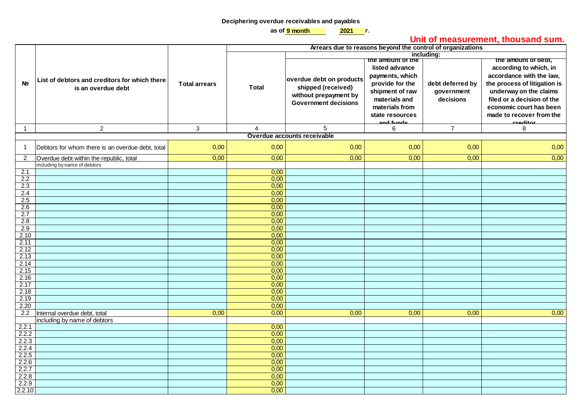#### **Deciphering overdue receivables and payables**

**9 month 2021 as of г.**

## **Unit of measurement, thousand sum.**

|                  |                                                                     |                      | <u>Uma Urmododi University thouband Uarni</u><br>Arrears due to reasons beyond the control of organizations |                                                                                                        |                                                                                                                                                                 |                                             |                                                                                                                                                                                                                                      |
|------------------|---------------------------------------------------------------------|----------------------|-------------------------------------------------------------------------------------------------------------|--------------------------------------------------------------------------------------------------------|-----------------------------------------------------------------------------------------------------------------------------------------------------------------|---------------------------------------------|--------------------------------------------------------------------------------------------------------------------------------------------------------------------------------------------------------------------------------------|
|                  |                                                                     |                      |                                                                                                             | including:                                                                                             |                                                                                                                                                                 |                                             |                                                                                                                                                                                                                                      |
| N <sub>2</sub>   | List of debtors and creditors for which there<br>is an overdue debt | <b>Total arrears</b> | <b>Total</b>                                                                                                | overdue debt on products<br>shipped (received)<br>without prepayment by<br><b>Government decisions</b> | the amount of the<br>listed advance<br>payments, which<br>provide for the<br>shipment of raw<br>materials and<br>materials from<br>state resources<br>and funde | debt deferred by<br>government<br>decisions | the amount or dept,<br>according to which, in<br>accordance with the law,<br>the process of litigation is<br>underway on the claims<br>filed or a decision of the<br>economic court has been<br>made to recover from the<br>croditor |
| $\mathbf{1}$     | $\overline{2}$                                                      | $\mathbf{3}$         | $\overline{4}$                                                                                              | 5                                                                                                      | 6                                                                                                                                                               | $\overline{7}$                              | 8                                                                                                                                                                                                                                    |
|                  |                                                                     |                      |                                                                                                             | Overdue accounts receivable                                                                            |                                                                                                                                                                 |                                             |                                                                                                                                                                                                                                      |
| $\mathbf{1}$     | Debtors for whom there is an overdue debt, total                    | 0,00                 | 0,00                                                                                                        | 0,00                                                                                                   | 0,00                                                                                                                                                            | 0,00                                        | 0,00                                                                                                                                                                                                                                 |
| $\overline{2}$   | Overdue debt within the republic, total                             | 0,00                 | 0,00                                                                                                        | 0,00                                                                                                   | 0,00                                                                                                                                                            | 0,00                                        | 0,00                                                                                                                                                                                                                                 |
|                  | including by name of debtors                                        |                      |                                                                                                             |                                                                                                        |                                                                                                                                                                 |                                             |                                                                                                                                                                                                                                      |
| 2.1              |                                                                     |                      | 0,00                                                                                                        |                                                                                                        |                                                                                                                                                                 |                                             |                                                                                                                                                                                                                                      |
| 2.2<br>2.3       |                                                                     |                      | 0,00<br>0,00                                                                                                |                                                                                                        |                                                                                                                                                                 |                                             |                                                                                                                                                                                                                                      |
| 2.4              |                                                                     |                      | 0,00                                                                                                        |                                                                                                        |                                                                                                                                                                 |                                             |                                                                                                                                                                                                                                      |
| 2.5              |                                                                     |                      | 0,00                                                                                                        |                                                                                                        |                                                                                                                                                                 |                                             |                                                                                                                                                                                                                                      |
| 2.6              |                                                                     |                      | 0,00                                                                                                        |                                                                                                        |                                                                                                                                                                 |                                             |                                                                                                                                                                                                                                      |
| 2.7              |                                                                     |                      | 0,00                                                                                                        |                                                                                                        |                                                                                                                                                                 |                                             |                                                                                                                                                                                                                                      |
| 2.8              |                                                                     |                      | 0,00                                                                                                        |                                                                                                        |                                                                                                                                                                 |                                             |                                                                                                                                                                                                                                      |
| 2.9              |                                                                     |                      | 0,00                                                                                                        |                                                                                                        |                                                                                                                                                                 |                                             |                                                                                                                                                                                                                                      |
| 2.10             |                                                                     |                      | 0,00                                                                                                        |                                                                                                        |                                                                                                                                                                 |                                             |                                                                                                                                                                                                                                      |
| 2.11             |                                                                     |                      | 0,00                                                                                                        |                                                                                                        |                                                                                                                                                                 |                                             |                                                                                                                                                                                                                                      |
| 2.12<br>2.13     |                                                                     |                      | 0,00<br>0,00                                                                                                |                                                                                                        |                                                                                                                                                                 |                                             |                                                                                                                                                                                                                                      |
| 2.14             |                                                                     |                      | 0,00                                                                                                        |                                                                                                        |                                                                                                                                                                 |                                             |                                                                                                                                                                                                                                      |
| 2.15             |                                                                     |                      | 0,00                                                                                                        |                                                                                                        |                                                                                                                                                                 |                                             |                                                                                                                                                                                                                                      |
| 2.16             |                                                                     |                      | 0,00                                                                                                        |                                                                                                        |                                                                                                                                                                 |                                             |                                                                                                                                                                                                                                      |
| 2.17             |                                                                     |                      | 0,00                                                                                                        |                                                                                                        |                                                                                                                                                                 |                                             |                                                                                                                                                                                                                                      |
| 2.18             |                                                                     |                      | 0,00                                                                                                        |                                                                                                        |                                                                                                                                                                 |                                             |                                                                                                                                                                                                                                      |
| 2.19             |                                                                     |                      | 0,00                                                                                                        |                                                                                                        |                                                                                                                                                                 |                                             |                                                                                                                                                                                                                                      |
| 2.20             |                                                                     |                      | 0,00                                                                                                        |                                                                                                        |                                                                                                                                                                 |                                             |                                                                                                                                                                                                                                      |
| $\overline{2.2}$ | Internal overdue debt, total<br>including by name of debtors        | 0,00                 | 0,00                                                                                                        | 0,00                                                                                                   | 0,00                                                                                                                                                            | 0,00                                        | 0,00                                                                                                                                                                                                                                 |
| 2.2.1            |                                                                     |                      | 0,00                                                                                                        |                                                                                                        |                                                                                                                                                                 |                                             |                                                                                                                                                                                                                                      |
| 2.2.2            |                                                                     |                      | 0,00                                                                                                        |                                                                                                        |                                                                                                                                                                 |                                             |                                                                                                                                                                                                                                      |
| 2.2.3            |                                                                     |                      | 0,00                                                                                                        |                                                                                                        |                                                                                                                                                                 |                                             |                                                                                                                                                                                                                                      |
| 2.2.4            |                                                                     |                      | 0,00                                                                                                        |                                                                                                        |                                                                                                                                                                 |                                             |                                                                                                                                                                                                                                      |
| 2.2.5            |                                                                     |                      | 0,00                                                                                                        |                                                                                                        |                                                                                                                                                                 |                                             |                                                                                                                                                                                                                                      |
| 2.2.6            |                                                                     |                      | 0,00                                                                                                        |                                                                                                        |                                                                                                                                                                 |                                             |                                                                                                                                                                                                                                      |
| 2.2.7            |                                                                     |                      | 0,00                                                                                                        |                                                                                                        |                                                                                                                                                                 |                                             |                                                                                                                                                                                                                                      |
| 2.2.8            |                                                                     |                      | 0,00                                                                                                        |                                                                                                        |                                                                                                                                                                 |                                             |                                                                                                                                                                                                                                      |
| 2.2.9            |                                                                     |                      | 0,00                                                                                                        |                                                                                                        |                                                                                                                                                                 |                                             |                                                                                                                                                                                                                                      |
| 2.2.10           |                                                                     |                      | 0,00                                                                                                        |                                                                                                        |                                                                                                                                                                 |                                             |                                                                                                                                                                                                                                      |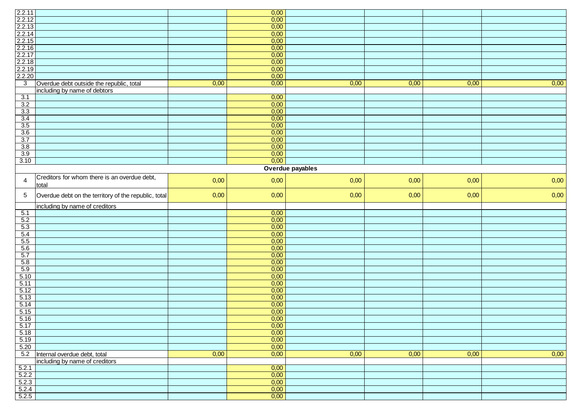|                                                                                        |                                                       |      | 0,00         |                  |      |      |      |
|----------------------------------------------------------------------------------------|-------------------------------------------------------|------|--------------|------------------|------|------|------|
| 2.2.11<br>2.2.13<br>2.2.14<br>2.2.15<br>2.2.16<br>2.2.17<br>2.2.18<br>2.2.19<br>2.2.20 |                                                       |      | 0,00         |                  |      |      |      |
|                                                                                        |                                                       |      | 0,00         |                  |      |      |      |
|                                                                                        |                                                       |      | 0,00         |                  |      |      |      |
|                                                                                        |                                                       |      | 0,00         |                  |      |      |      |
|                                                                                        |                                                       |      |              |                  |      |      |      |
|                                                                                        |                                                       |      | 0,00         |                  |      |      |      |
|                                                                                        |                                                       |      | 0,00         |                  |      |      |      |
|                                                                                        |                                                       |      | 0,00         |                  |      |      |      |
|                                                                                        |                                                       |      | 0,00         |                  |      |      |      |
|                                                                                        |                                                       |      | 0,00         |                  |      |      |      |
| $\overline{3}$                                                                         | Overdue debt outside the republic, total              | 0,00 | 0,00         | 0,00             | 0,00 | 0,00 | 0,00 |
|                                                                                        | including by name of debtors                          |      |              |                  |      |      |      |
| 3.1                                                                                    |                                                       |      | 0,00         |                  |      |      |      |
| 3.2                                                                                    |                                                       |      | 0,00         |                  |      |      |      |
| 3.3                                                                                    |                                                       |      | 0,00         |                  |      |      |      |
| 3.4                                                                                    |                                                       |      | 0,00         |                  |      |      |      |
| 3.5                                                                                    |                                                       |      | 0,00         |                  |      |      |      |
| 3.6                                                                                    |                                                       |      | 0,00         |                  |      |      |      |
| 3.7                                                                                    |                                                       |      | 0,00         |                  |      |      |      |
| 3.8                                                                                    |                                                       |      | 0,00         |                  |      |      |      |
| 3.9                                                                                    |                                                       |      | 0,00         |                  |      |      |      |
| 3.10                                                                                   |                                                       |      | 0,00         |                  |      |      |      |
|                                                                                        |                                                       |      |              | Overdue payables |      |      |      |
|                                                                                        |                                                       |      |              |                  |      |      |      |
| $\overline{\mathbf{4}}$                                                                | Creditors for whom there is an overdue debt,<br>total | 0,00 | 0,00         | 0,00             | 0,00 | 0,00 | 0,00 |
| 5                                                                                      | Overdue debt on the territory of the republic, total  | 0,00 | 0,00         | 0,00             | 0,00 | 0,00 | 0,00 |
|                                                                                        | including by name of creditors                        |      |              |                  |      |      |      |
| 5.1                                                                                    |                                                       |      | 0,00         |                  |      |      |      |
| 5.2                                                                                    |                                                       |      | 0,00         |                  |      |      |      |
| 5.3                                                                                    |                                                       |      | 0,00         |                  |      |      |      |
| 5.4                                                                                    |                                                       |      | 0,00         |                  |      |      |      |
| 5.5                                                                                    |                                                       |      | 0,00         |                  |      |      |      |
| 5.6                                                                                    |                                                       |      | 0,00         |                  |      |      |      |
| 5.7                                                                                    |                                                       |      | 0,00         |                  |      |      |      |
| 5.8                                                                                    |                                                       |      |              |                  |      |      |      |
| 5.9                                                                                    |                                                       |      |              |                  |      |      |      |
|                                                                                        |                                                       |      | 0,00         |                  |      |      |      |
|                                                                                        |                                                       |      | 0,00         |                  |      |      |      |
| 5.10                                                                                   |                                                       |      | 0,00         |                  |      |      |      |
| 5.11                                                                                   |                                                       |      | 0,00         |                  |      |      |      |
| 5.12                                                                                   |                                                       |      | 0,00         |                  |      |      |      |
| 5.13                                                                                   |                                                       |      | 0,00         |                  |      |      |      |
| 5.14                                                                                   |                                                       |      | 0,00         |                  |      |      |      |
| 5.15                                                                                   |                                                       |      | 0,00         |                  |      |      |      |
| 5.16                                                                                   |                                                       |      | 0,00         |                  |      |      |      |
| 5.17                                                                                   |                                                       |      | 0,00         |                  |      |      |      |
| 5.18                                                                                   |                                                       |      | 0,00         |                  |      |      |      |
| 5.19                                                                                   |                                                       |      | 0,00         |                  |      |      |      |
| 5.20                                                                                   |                                                       |      | 0,00         |                  |      |      |      |
|                                                                                        |                                                       | 0,00 | 0,00         | 0,00             | 0,00 | 0,00 | 0,00 |
|                                                                                        | 5.2 Internal overdue debt, total                      |      |              |                  |      |      |      |
|                                                                                        | including by name of creditors                        |      |              |                  |      |      |      |
| 5.2.1                                                                                  |                                                       |      | 0,00         |                  |      |      |      |
| 5.2.2                                                                                  |                                                       |      | 0,00         |                  |      |      |      |
| 5.2.3<br>5.2.4                                                                         |                                                       |      | 0,00<br>0,00 |                  |      |      |      |